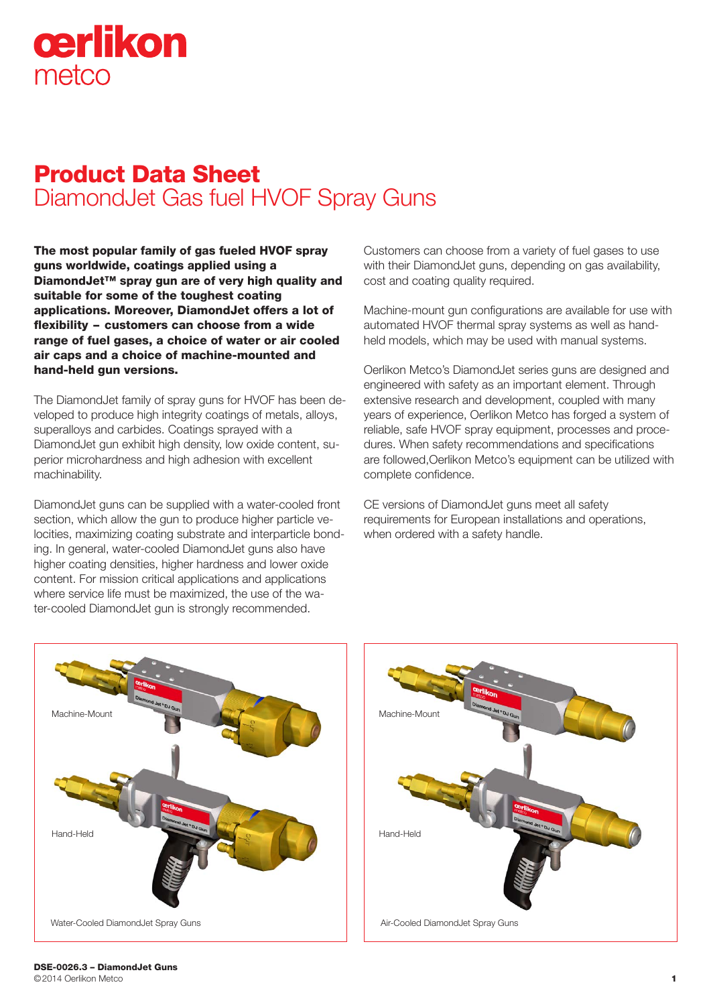# cerlikon metco

# Product Data Sheet DiamondJet Gas fuel HVOF Spray Guns

The most popular family of gas fueled HVOF spray guns worldwide, coatings applied using a DiamondJet™ spray gun are of very high quality and suitable for some of the toughest coating applications. Moreover, DiamondJet offers a lot of flexibility – customers can choose from a wide range of fuel gases, a choice of water or air cooled air caps and a choice of machine-mounted and hand-held gun versions.

The DiamondJet family of spray guns for HVOF has been developed to produce high integrity coatings of metals, alloys, superalloys and carbides. Coatings sprayed with a DiamondJet gun exhibit high density, low oxide content, superior microhardness and high adhesion with excellent machinability.

DiamondJet guns can be supplied with a water-cooled front section, which allow the gun to produce higher particle velocities, maximizing coating substrate and interparticle bonding. In general, water-cooled DiamondJet guns also have higher coating densities, higher hardness and lower oxide content. For mission critical applications and applications where service life must be maximized, the use of the water-cooled DiamondJet gun is strongly recommended.

Customers can choose from a variety of fuel gases to use with their DiamondJet guns, depending on gas availability, cost and coating quality required.

Machine-mount gun configurations are available for use with automated HVOF thermal spray systems as well as handheld models, which may be used with manual systems.

Oerlikon Metco's DiamondJet series guns are designed and engineered with safety as an important element. Through extensive research and development, coupled with many years of experience, Oerlikon Metco has forged a system of reliable, safe HVOF spray equipment, processes and procedures. When safety recommendations and specifications are followed,Oerlikon Metco's equipment can be utilized with complete confidence.

CE versions of DiamondJet guns meet all safety requirements for European installations and operations, when ordered with a safety handle.



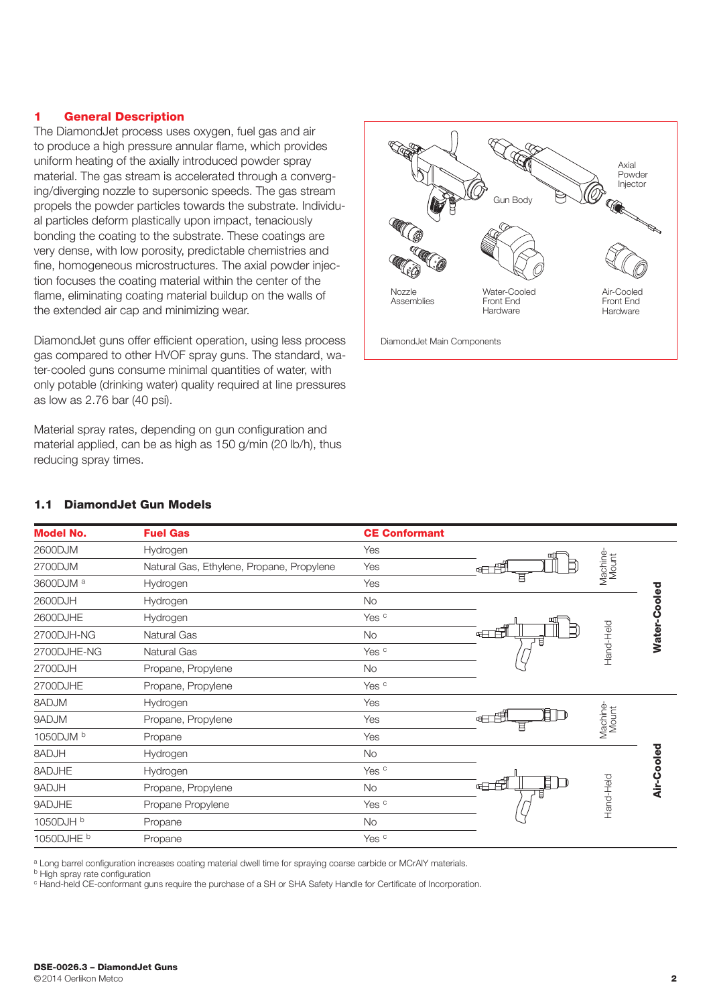#### 1 General Description

The DiamondJet process uses oxygen, fuel gas and air to produce a high pressure annular flame, which provides uniform heating of the axially introduced powder spray material. The gas stream is accelerated through a converging/diverging nozzle to supersonic speeds. The gas stream propels the powder particles towards the substrate. Individual particles deform plastically upon impact, tenaciously bonding the coating to the substrate. These coatings are very dense, with low porosity, predictable chemistries and fine, homogeneous microstructures. The axial powder injection focuses the coating material within the center of the flame, eliminating coating material buildup on the walls of the extended air cap and minimizing wear.

DiamondJet guns offer efficient operation, using less process gas compared to other HVOF spray guns. The standard, water-cooled guns consume minimal quantities of water, with only potable (drinking water) quality required at line pressures as low as 2.76 bar (40 psi).

Material spray rates, depending on gun configuration and material applied, can be as high as 150 g/min (20 lb/h), thus reducing spray times.



| <b>Model No.</b>      | <b>Fuel Gas</b>                           | <b>CE Conformant</b> |              |                   |              |
|-----------------------|-------------------------------------------|----------------------|--------------|-------------------|--------------|
| 2600DJM               | Hydrogen                                  | Yes                  | mſ           |                   |              |
| 2700DJM               | Natural Gas, Ethylene, Propane, Propylene | Yes                  | ⊞⊞⊞          | Machine-<br>Mount |              |
| 3600DJM <sup>a</sup>  | Hydrogen                                  | Yes                  | 目            |                   |              |
| 2600DJH               | Hydrogen                                  | <b>No</b>            |              |                   |              |
| 2600DJHE              | Hydrogen                                  | Yes <sup>c</sup>     |              |                   |              |
| 2700DJH-NG            | <b>Natural Gas</b>                        | <b>No</b>            | ⊞⊞⊞          | Hand-Held         | Water-Cooled |
| 2700DJHE-NG           | Natural Gas                               | Yes <sup>c</sup>     |              |                   |              |
| 2700DJH               | Propane, Propylene                        | <b>No</b>            |              |                   |              |
| 2700DJHE              | Propane, Propylene                        | Yes <sup>c</sup>     |              |                   |              |
| MLGA8                 | Hydrogen                                  | Yes                  |              |                   |              |
| MLGA <b>9</b>         | Propane, Propylene                        | Yes                  | 印<br>⊞⊞<br>耳 | Machine-<br>Mount |              |
| 1050DJM b             | Propane                                   | Yes                  |              |                   |              |
| <b>HLCA8</b>          | Hydrogen                                  | No                   |              |                   |              |
| 8ADJHE                | Hydrogen                                  | Yes <sup>c</sup>     |              |                   |              |
| 9ADJH                 | Propane, Propylene                        | <b>No</b>            | 目<br>⊕⊟∄     |                   | Air-Cooled   |
| 9ADJHE                | Propane Propylene                         | Yes <sup>c</sup>     |              | Hand-Held         |              |
| 1050DJH b             | Propane                                   | No                   |              |                   |              |
| 1050DJHE <sup>b</sup> | Propane                                   | Yes <sup>c</sup>     |              |                   |              |
|                       |                                           |                      |              |                   |              |

# 1.1 DiamondJet Gun Models

a Long barrel configuration increases coating material dwell time for spraying coarse carbide or MCrAlY materials.

**b** High spray rate configuration

<sup>c</sup> Hand-held CE-conformant guns require the purchase of a SH or SHA Safety Handle for Certificate of Incorporation.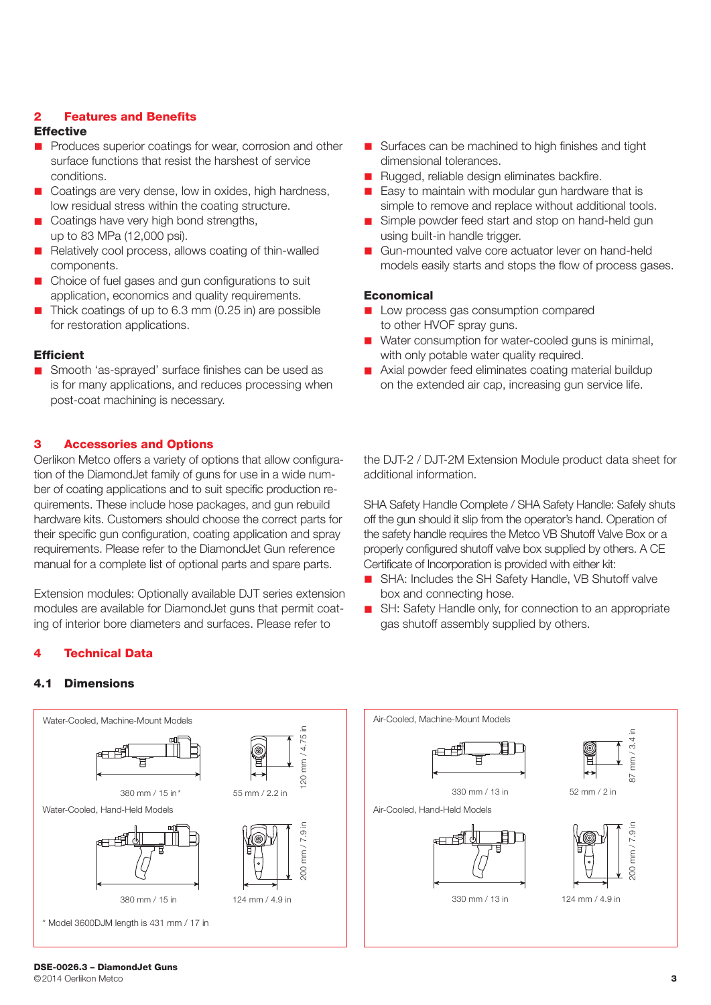### 2 Features and Benefits

#### **Effective**

- **n** Produces superior coatings for wear, corrosion and other surface functions that resist the harshest of service conditions.
- Coatings are very dense, low in oxides, high hardness, low residual stress within the coating structure.
- Coatings have very high bond strengths, up to 83 MPa (12,000 psi).
- Relatively cool process, allows coating of thin-walled components.
- Choice of fuel gases and gun configurations to suit application, economics and quality requirements.
- Thick coatings of up to 6.3 mm (0.25 in) are possible for restoration applications.

#### **Efficient**

■ Smooth 'as-sprayed' surface finishes can be used as is for many applications, and reduces processing when post-coat machining is necessary.

#### 3 Accessories and Options

Oerlikon Metco offers a variety of options that allow configuration of the DiamondJet family of guns for use in a wide number of coating applications and to suit specific production requirements. These include hose packages, and gun rebuild hardware kits. Customers should choose the correct parts for their specific gun configuration, coating application and spray requirements. Please refer to the DiamondJet Gun reference manual for a complete list of optional parts and spare parts.

Extension modules: Optionally available DJT series extension modules are available for DiamondJet guns that permit coating of interior bore diameters and surfaces. Please refer to

#### **Technical Data**

#### 4.1 Dimensions



- $\blacksquare$  Surfaces can be machined to high finishes and tight dimensional tolerances.
- Rugged, reliable design eliminates backfire.
- $\blacksquare$  Easy to maintain with modular gun hardware that is simple to remove and replace without additional tools.
- Simple powder feed start and stop on hand-held gun using built-in handle trigger.
- Gun-mounted valve core actuator lever on hand-held models easily starts and stops the flow of process gases.

#### **Economical**

- **n** Low process gas consumption compared to other HVOF spray guns.
- Water consumption for water-cooled guns is minimal, with only potable water quality required.
- Axial powder feed eliminates coating material buildup on the extended air cap, increasing gun service life.

the DJT-2 / DJT-2M Extension Module product data sheet for additional information.

SHA Safety Handle Complete / SHA Safety Handle: Safely shuts off the gun should it slip from the operator's hand. Operation of the safety handle requires the Metco VB Shutoff Valve Box or a properly configured shutoff valve box supplied by others. A CE Certificate of Incorporation is provided with either kit:

- SHA: Includes the SH Safety Handle, VB Shutoff valve box and connecting hose.
- SH: Safety Handle only, for connection to an appropriate gas shutoff assembly supplied by others.